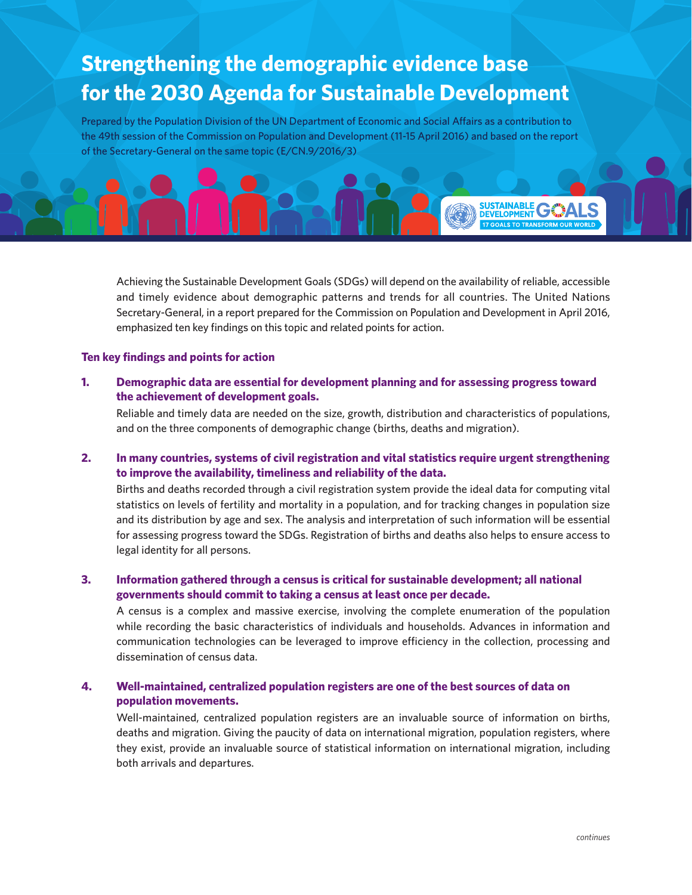# **Strengthening the demographic evidence base for the 2030 Agenda for Sustainable Development**

Prepared by the Population Division of the UN Department of Economic and Social Affairs as a contribution to the 49th session of the Commission on Population and Development (11-15 April 2016) and based on the report of the Secretary-General on the same topic (E/CN.9/2016/3)

Achieving the Sustainable Development Goals (SDGs) will depend on the availability of reliable, accessible and timely evidence about demographic patterns and trends for all countries. The United Nations Secretary-General, in a report prepared for the Commission on Population and Development in April 2016, emphasized ten key findings on this topic and related points for action.

#### **Ten key findings and points for action**

**1. Demographic data are essential for development planning and for assessing progress toward the achievement of development goals.** 

Reliable and timely data are needed on the size, growth, distribution and characteristics of populations, and on the three components of demographic change (births, deaths and migration).

## **2. In many countries, systems of civil registration and vital statistics require urgent strengthening to improve the availability, timeliness and reliability of the data.**

Births and deaths recorded through a civil registration system provide the ideal data for computing vital statistics on levels of fertility and mortality in a population, and for tracking changes in population size and its distribution by age and sex. The analysis and interpretation of such information will be essential for assessing progress toward the SDGs. Registration of births and deaths also helps to ensure access to legal identity for all persons.

## **3. Information gathered through a census is critical for sustainable development; all national governments should commit to taking a census at least once per decade.**

A census is a complex and massive exercise, involving the complete enumeration of the population while recording the basic characteristics of individuals and households. Advances in information and communication technologies can be leveraged to improve efficiency in the collection, processing and dissemination of census data.

## **4. Well-maintained, centralized population registers are one of the best sources of data on population movements.**

Well-maintained, centralized population registers are an invaluable source of information on births, deaths and migration. Giving the paucity of data on international migration, population registers, where they exist, provide an invaluable source of statistical information on international migration, including both arrivals and departures.